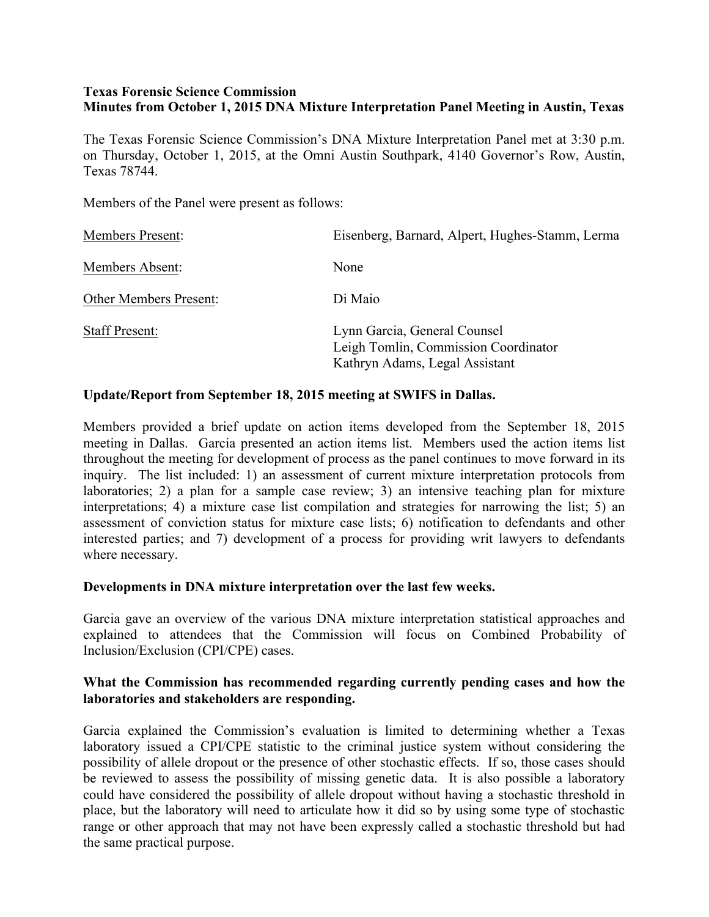# **Texas Forensic Science Commission Minutes from October 1, 2015 DNA Mixture Interpretation Panel Meeting in Austin, Texas**

The Texas Forensic Science Commission's DNA Mixture Interpretation Panel met at 3:30 p.m. on Thursday, October 1, 2015, at the Omni Austin Southpark, 4140 Governor's Row, Austin, Texas 78744.

Members of the Panel were present as follows:

| <b>Members Present:</b>       | Eisenberg, Barnard, Alpert, Hughes-Stamm, Lerma                                                        |
|-------------------------------|--------------------------------------------------------------------------------------------------------|
| Members Absent:               | None                                                                                                   |
| <b>Other Members Present:</b> | Di Maio                                                                                                |
| <b>Staff Present:</b>         | Lynn Garcia, General Counsel<br>Leigh Tomlin, Commission Coordinator<br>Kathryn Adams, Legal Assistant |

## **Update/Report from September 18, 2015 meeting at SWIFS in Dallas.**

Members provided a brief update on action items developed from the September 18, 2015 meeting in Dallas. Garcia presented an action items list. Members used the action items list throughout the meeting for development of process as the panel continues to move forward in its inquiry. The list included: 1) an assessment of current mixture interpretation protocols from laboratories; 2) a plan for a sample case review; 3) an intensive teaching plan for mixture interpretations; 4) a mixture case list compilation and strategies for narrowing the list; 5) an assessment of conviction status for mixture case lists; 6) notification to defendants and other interested parties; and 7) development of a process for providing writ lawyers to defendants where necessary.

## **Developments in DNA mixture interpretation over the last few weeks.**

Garcia gave an overview of the various DNA mixture interpretation statistical approaches and explained to attendees that the Commission will focus on Combined Probability of Inclusion/Exclusion (CPI/CPE) cases.

## **What the Commission has recommended regarding currently pending cases and how the laboratories and stakeholders are responding.**

Garcia explained the Commission's evaluation is limited to determining whether a Texas laboratory issued a CPI/CPE statistic to the criminal justice system without considering the possibility of allele dropout or the presence of other stochastic effects. If so, those cases should be reviewed to assess the possibility of missing genetic data. It is also possible a laboratory could have considered the possibility of allele dropout without having a stochastic threshold in place, but the laboratory will need to articulate how it did so by using some type of stochastic range or other approach that may not have been expressly called a stochastic threshold but had the same practical purpose.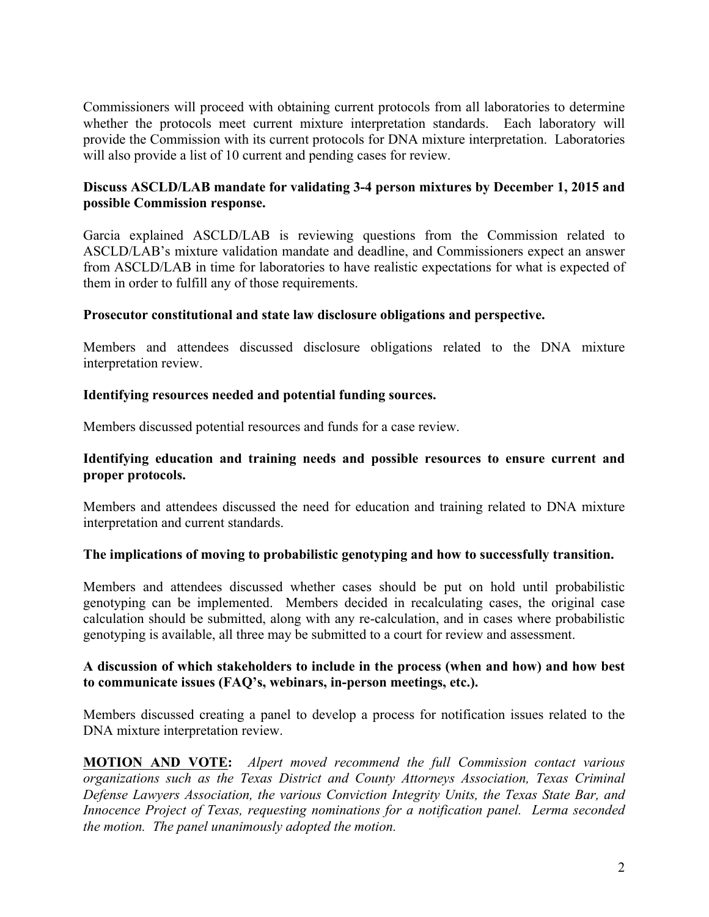Commissioners will proceed with obtaining current protocols from all laboratories to determine whether the protocols meet current mixture interpretation standards. Each laboratory will provide the Commission with its current protocols for DNA mixture interpretation. Laboratories will also provide a list of 10 current and pending cases for review.

# **Discuss ASCLD/LAB mandate for validating 3-4 person mixtures by December 1, 2015 and possible Commission response.**

Garcia explained ASCLD/LAB is reviewing questions from the Commission related to ASCLD/LAB's mixture validation mandate and deadline, and Commissioners expect an answer from ASCLD/LAB in time for laboratories to have realistic expectations for what is expected of them in order to fulfill any of those requirements.

# **Prosecutor constitutional and state law disclosure obligations and perspective.**

Members and attendees discussed disclosure obligations related to the DNA mixture interpretation review.

# **Identifying resources needed and potential funding sources.**

Members discussed potential resources and funds for a case review.

# **Identifying education and training needs and possible resources to ensure current and proper protocols.**

Members and attendees discussed the need for education and training related to DNA mixture interpretation and current standards.

# **The implications of moving to probabilistic genotyping and how to successfully transition.**

Members and attendees discussed whether cases should be put on hold until probabilistic genotyping can be implemented. Members decided in recalculating cases, the original case calculation should be submitted, along with any re-calculation, and in cases where probabilistic genotyping is available, all three may be submitted to a court for review and assessment.

## **A discussion of which stakeholders to include in the process (when and how) and how best to communicate issues (FAQ's, webinars, in-person meetings, etc.).**

Members discussed creating a panel to develop a process for notification issues related to the DNA mixture interpretation review.

**MOTION AND VOTE:** *Alpert moved recommend the full Commission contact various organizations such as the Texas District and County Attorneys Association, Texas Criminal Defense Lawyers Association, the various Conviction Integrity Units, the Texas State Bar, and Innocence Project of Texas, requesting nominations for a notification panel. Lerma seconded the motion. The panel unanimously adopted the motion.*